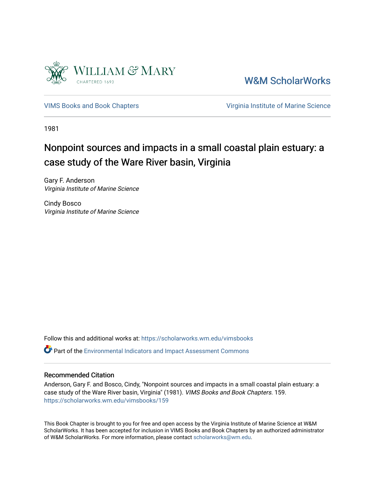

[W&M ScholarWorks](https://scholarworks.wm.edu/) 

[VIMS Books and Book Chapters](https://scholarworks.wm.edu/vimsbooks) [Virginia Institute of Marine Science](https://scholarworks.wm.edu/vims) 

1981

# Nonpoint sources and impacts in a small coastal plain estuary: a case study of the Ware River basin, Virginia

Gary F. Anderson Virginia Institute of Marine Science

Cindy Bosco Virginia Institute of Marine Science

Follow this and additional works at: [https://scholarworks.wm.edu/vimsbooks](https://scholarworks.wm.edu/vimsbooks?utm_source=scholarworks.wm.edu%2Fvimsbooks%2F159&utm_medium=PDF&utm_campaign=PDFCoverPages) 

Part of the [Environmental Indicators and Impact Assessment Commons](http://network.bepress.com/hgg/discipline/1015?utm_source=scholarworks.wm.edu%2Fvimsbooks%2F159&utm_medium=PDF&utm_campaign=PDFCoverPages) 

## Recommended Citation

Anderson, Gary F. and Bosco, Cindy, "Nonpoint sources and impacts in a small coastal plain estuary: a case study of the Ware River basin, Virginia" (1981). VIMS Books and Book Chapters. 159. [https://scholarworks.wm.edu/vimsbooks/159](https://scholarworks.wm.edu/vimsbooks/159?utm_source=scholarworks.wm.edu%2Fvimsbooks%2F159&utm_medium=PDF&utm_campaign=PDFCoverPages) 

This Book Chapter is brought to you for free and open access by the Virginia Institute of Marine Science at W&M ScholarWorks. It has been accepted for inclusion in VIMS Books and Book Chapters by an authorized administrator of W&M ScholarWorks. For more information, please contact [scholarworks@wm.edu.](mailto:scholarworks@wm.edu)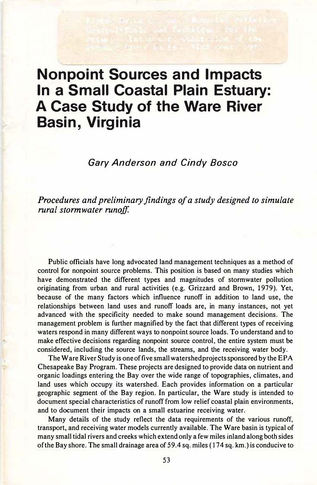# **Nonpoint Sources and Impacts In a Small Coastal Plain Estuary: A Case Study of the Ware River Basin, Virginia**

*Gary Anderson and Cindy Bosco* 

*Procedures and preliminary findings of a study designed to simulate rural stormwater runoff.* 

Public officials have long advocated land management techniques as a method of control for nonpoint source problems. This position is based on many studies which have demonstrated the different types and magnitudes of stormwater pollution originating from urban and rural activities (e.g. Grizzard and Brown, 1979). **Yet,**  because of the many factors which influence runoff in addition to land use, the relationships between land uses and runoff loads are, in many instances, not yet advanced with the specificity needed to make sound management decisions. The management problem is further magnified by the fact that different types of receiving waters respond in many different ways to nonpoint source loads. To understand and to make effective decisions regarding nonpoint source control, the entire system must be considered, including the source lands, the streams, and the receiving water body.

•.

The Ware River Study is one offive small watershed projects sponsored by the EPA Chesapeake Bay Program. These projects are designed to provide data on nutrient and organic loadings entering the Bay over the wide range of topographies, climates, and land uses which occupy its watershed. Each provides information on a particular geographic segment of the Bay region. In particular, the Ware study is intended to document special characteristics of runoff from low relief coastal plain environments, and to document their impacts on a small estuarine receiving water.

Many details of the study reflect the data requirements of the various runoff, transport, and receiving water models currently available. The Ware basin is typical of many small tidal rivers and creeks which extend only a few miles inland along both sides of the Bay shore. The small drainage area of 59.4 sq. miles ( 174 sq. km.) is conducive to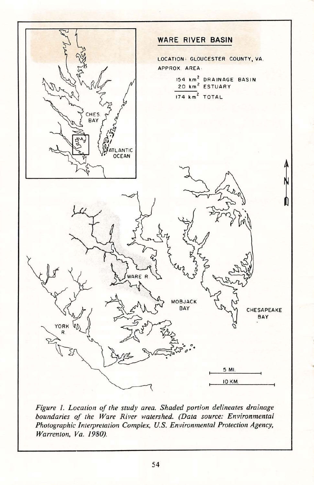

*Figure* I. *Location of the study area. Shaded portion delineates drainage boundaries of the Ware River watershed. (Data source: Environmental Photographic Interpretation Complex, U.S. Environmental Protection Agency, Warrenton, Va. 1980).*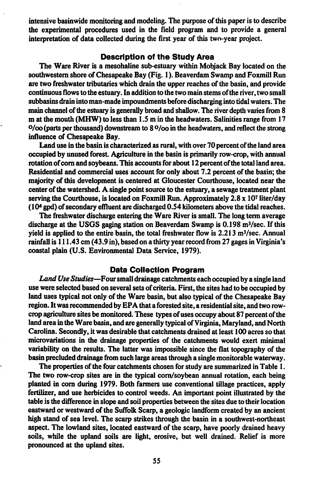intensive basin wide monitoring and modeling. The purpose of this paper is to describe the experimental procedures used in the field program and to provide a general interpretation of data collected during the first year of this two-year project.

#### **Description of the Study Area**

The Ware River is a mesohaline sub-estuary within Mobjack Bay located on the southwestern shore of Chesapeake Bay (Fig. 1 ). Beaverdam Swamp and Foxmill Run are two freshwater tributaries which drain the upper reaches of the basin, and provide continuous flows to the estuary. In addition to the two main stems of the river, two small subbasins drain into man-made impoundments before discharging into tidal waters. The main channel of the estuary is generally broad and shallow. The river depth varies from 8 m at the mouth **(MHW)** to less than 1.5 m in the headwaters. Salinities range from 17  $O$ /oo (parts per thousand) downstream to 8 $O$ /oo in the headwaters, and reflect the strong influence of Chesapeake **Bay.** 

Land use in the basin is characterized as rural, with over 70 percent of the land area occupied by unused forest Agriculture in the basin is primarily row-crop, with annual rotation of com and soybeans. This accounts for about 12 percent of the total land area. Residential and commercial uses account for only about 7 .2 percent of the basin; the majority of this development is centered at Gloucester Courthouse, located near the center of the watershed. A single point source to the estuary, a sewage treatment plant serving the Courthouse, is located on Foxmill Run. Approximately 2.8 x 10' liter/day  $(10<sup>4</sup>$  gpd) of secondary effluent are discharged 0.54 kilometers above the tidal reaches.

The freshwater discharge entering the Ware River is small. The long term average discharge at the USGS gaging station on Beaverdam Swamp is  $0.198 \text{ m}^3/\text{sec}$ . If this yield is applied to the entire basin, the total freshwater flow is  $2.213 \text{ m}^3/\text{sec}$ . Annual rainfall is 111.43 cm (43.9 in), based on a thirty year record from 27 gages in Virginia's coastal plain (U.S. Environmental Data Service, 1979).

#### **Data Collection Program**

*Land Use Studies-Four* small drainage catchments each occupied by a single land use were selected based on several sets of criteria. First, the sites had to be occupied by land uses typical not only of the Ware basin, but also typical of the Chesapeake Bay region. It was recommended by EPA that a forested site, a residential site, and two rowcrop agriculture sites be monitored. These types of uses occupy about 87 percent of the land area in the Ware basin, and are generally typical of Virginia, Maryland, and North Carolina. Secondly, it was desirable that catchments drained at least I 00 acres so that microvariations in the drainage properties of the catchments would exert minimal variability on the results. The latter was impossible since the flat topography of the basin precluded drainage from such large areas through a single monitorable waterway.

The properties of the four catchments chosen for study are summarized in Table I. The two row-crop sites are in the typical com/soybean annual rotation, each being planted in corn during 1979. Both farmers use conventional tillage practices, apply fertilizer, and use herbicides to control weeds. An important point illustrated by the table is the difference in slope and soil properties between the sites due to their location eastward or westward of the Suffolk Scarp, a geologic landfonn created by an ancient high stand of sea level. The scarp strikes through the basin in a southwest-northeast aspect. The lowland sites, located eastward of the scarp, have poorly drained heavy soils, while the upland soils are light, erosive, but well drained. Relief is more pronounced at the upland sites.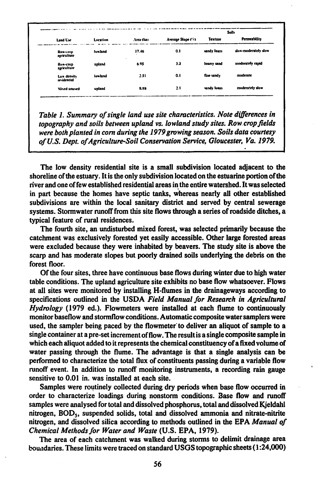|                            | Location       | Area that  |                    | <b>Solls</b>   |                      |
|----------------------------|----------------|------------|--------------------|----------------|----------------------|
| Land Use                   |                |            | Average Slope ('i) | <b>Texture</b> | Permeability         |
| Rowking<br>agriculture     | <b>luwtand</b> | 17.46<br>٠ | 0.1                | sandy loam     | slow-moderately slow |
| Ros-crop<br>agriculture    | upland         | 6.95       | 3.3                | loamy sand     | moderately rapid     |
| Low density<br>revidential | <b>lowland</b> | 2.51       | 0.1                | fine sandy     | moderate             |
| Mixed unused               | upland         | 8.88       | 2.1                | sandy loam     | moderately slow      |

Table 1. Summary of single land use site characteristics. Note differences in topography and soils between upland vs. lowland study sites. Row crop fields were both planted in corn during the 1979 growing season. Soils data courtesy of U.S. Dept. of Agriculture-Soil Conservation Service, Gloucester, Va. 1979.

The low density residential site is a small subdivision located adjacent to the shoreline of the estuary. It is the only subdivision located on the estuarine portion of the river and one of few established residential areas in the entire watershed. It was selected in part because the homes have septic tanks, whereas nearly all other established subdivisions are within the local sanitary district and served by central sewerage systems. Stormwater runoff from this site flows through a series of roadside ditches, a typical feature of rural residences.

The fourth site, an undisturbed mixed forest, was selected primarily because the catchment was exclusively forested yet easily accessible. Other large forested areas were excluded because they were inhabited by beavers. The study site is above the scarp and has moderate slopes but poorly drained soils underlying the debris on the forest floor.

Of the four sites, three have continuous base flows during winter due to high water table conditions. The upland agriculture site exhibits no base flow whatsoever. Flows at all sites were monitored by installing H-flumes in the drainageways according to specifications outlined in the USDA Field Manual for Research in Agricultural *Hydrology* (1979 ed.). Flowmeters were installed at each flume to continuously monitor baseflow and stormflow conditions. Automatic composite water samplers were used, the sampler being paced by the flowmeter to deliver an aliquot of sample to a single container at a pre-set increment of flow. The result is a single composite sample in which each aliquot added to it represents the chemical constituency of a fixed volume of water passing through the flume. The advantage is that a single analysis can be performed to characterize the total flux of constituents passing during a variable flow runoff event. In addition to runoff monitoring instruments, a recording rain gauge sensitive to 0.01 in, was installed at each site.

Samples were routinely collected during dry periods when base flow occurred in order to characterize loadings during nonstorm conditions. Base flow and runoff samples were analysed for total and dissolved phosphorus, total and dissolved Kjeldahl nitrogen, BOD<sub>5</sub>, suspended solids, total and dissolved ammonia and nitrate-nitrite nitrogen, and dissolved silica according to methods outlined in the EPA Manual of Chemical Methods for Water and Waste (U.S. EPA, 1979).

The area of each catchment was walked during storms to delimit drainage area boundaries. These limits were traced on standard USGS topographic sheets (1:24,000)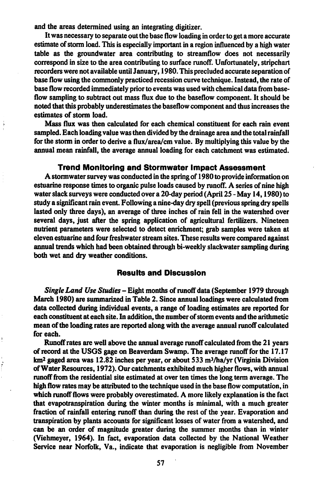and the areas determined using an integrating digitizer.

It was necessary to separate out the base flow loading in order to get a more accurate estimate of storm load. This is especially important in a region influenced by a high water table as the groundwater area contributing to streamflow does not necessarily correspond in size to the area contributing to surface runoff. Unfortunately, stripchart recorders were not available until January, 1980. This precluded accurate separation of base flow using the commonly practiced recession curve technique. Instead, the rate of base flow recorded immediately prior to events was used with chemical data from baseflow sampling to subtract out mass flux due to the baseflow component. It should be noted that this probably underestimates the baseflow component and thus increases the estimates of storm load.

Mass flux was then calculated for each chemical constituent for each rain event sampled. Each loading value was then divided by the drainage area and the total rainfall for the stonn in order to derive a flux/area/cm value. By multiplying this value by the annual mean rainfall, the average annual loading for each catchment was estimated.

### **Trend Monitoring and Stormwater Impact Assessment**

A stormwater survey was conducted in the spring of 1980 to provide infonnation on estuarine response times to organic pulse loads caused by runoff. A series of nine high water slack surveys were conducted over a 20-day period (April 25 - May 14, 1980) to study a significant rain event. Following a nine-day dry spell (previous spring dry spells lasted only three days), an average of three inches of rain fell in the watershed over several days, just after the spring application of agricultural fertilizers. Nineteen nutrient parameters were selected to detect enrichment; grab samples were taken at eleven estuarine and four freshwater stream sites. These results were compared against annual trends which had been obtained through bi-weekly slackwater sampling during both wet and dry weather conditions.

### **Results and Discussion**

*Single Land Use Studies* - Eight months of runoff data (September 1979 through March 1980) are summarized in Table 2. Since annual loadings were calculated from data collected during individual events, a range of loading estimates are reported for each constituent at each site. In addition, the number of storm events and the arithmetic mean of the loading rates are reported along with the average annual runoff calculated for each.

Runoff rates are well above the annual average runoff calculated from the 21 years of record at the USGS gage on Beaverdam Swamp. The average runoff for the 17 .17 km<sup>2</sup> gaged area was 12.82 inches per year, or about 533 m<sup>3</sup>/ha/yr (Virginia Division of Water Resources, 1972). Our catchments exhibited much higher flows, with annual runoff from the residential site estimated at over ten times the long term average. The high flow rates may be attributed to the technique used in the base flow computation, in which runoff flows were probably overestimated. A more likely explanation is the fact that evapotranspiration during the winter months is minimal, with a much greater fraction of rainfall entering runoff than during the rest of the year. Evaporation and transpiration by plants accounts for significant losses of water from a watershed, and can be an order of magnitude greater during the summer months than in winter (Viehmeyer, 1964 ). In fact, evaporation data collected by the National Weather Service near Norfolk, Va., indicate that evaporation is negligible from November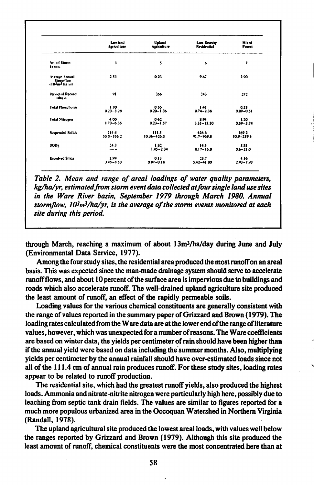|                                              | Lowland       | <b>Upland</b>   | Low Deastly    | Mixed           |
|----------------------------------------------|---------------|-----------------|----------------|-----------------|
|                                              | Agriculture   | Agriculture     | Residential    | Forest          |
| No. of Storm<br><b>Events</b>                | J             | 5               | 6              | 7               |
| Average Annual<br>Stormflow<br>(103m3 ha sr) | 2.53          | 0.23            | 9.67           | 2.90            |
| <b>Period of Record</b><br>tdas st           | 91            | 266             | 243            | 272             |
| <b>Total Phosphorus</b>                      | 1.30          | 0.56            | 1.45           | 0.25            |
|                                              | $0.23 - 3.28$ | $0.20 - 1.36$   | $0.74 - 2.38$  | $0.09 - 0.51$   |
| <b>Total Nitrogen</b>                        | 4.00          | 0.62            | 8.94           | 1.70            |
|                                              | $1.73 - 6.35$ | $0.23 - 1.57$   | $3.35 - 15.50$ | $0.59 - 3.74$   |
| <b>Suspended Solids</b>                      | 214.4         | 111.5           | 426.6          | 169.2           |
|                                              | 558-556.2     | $10.36 - 426.8$ | $91.7 - 969.8$ | $$0.9 - 259.3$$ |
| <b>BODS</b>                                  | 24.3          | 1.82            | 14.5           | 5.81            |
|                                              | $\cdots$      | $1.45 - 2.34$   | $8.17 - 16.8$  | $0.6 - 21.0$    |
| <b>Dissolved Silica</b>                      | 5.99          | 0.13            | 23.7           | 4.16            |
|                                              | $3.45 - 8.53$ | $0.07 - 0.18$   | $5.42 - 41.80$ | $2.93 - 7.93$   |

Table 2. Mean and range of areal loadings of water quality parameters. kg/ha/vr. estimated from storm event data collected at four single land use sites in the Ware River basin, September 1979 through March 1980. Annual stormflow,  $10^3 m^3/ha/yr$ , is the average of the storm events monitored at each site during this period.

through March, reaching a maximum of about 13m<sup>3</sup>/ha/day during June and July (Environmental Data Service, 1977).

Among the four study sites, the residential area produced the most runoff on an areal basis. This was expected since the man-made drainage system should serve to accelerate runoff flows, and about 10 percent of the surface area is impervious due to buildings and roads which also accelerate runoff. The well-drained upland agriculture site produced the least amount of runoff, an effect of the rapidly permeable soils.

Loading values for the various chemical constituents are generally consistent with the range of values reported in the summary paper of Grizzard and Brown (1979). The loading rates calculated from the Ware data are at the lower end of the range of literature values, however, which was unexpected for a number of reasons. The Ware coefficients are based on winter data, the yields per centimeter of rain should have been higher than if the annual yield were based on data including the summer months. Also, multiplying yields per centimeter by the annual rainfall should have over-estimated loads since not all of the 111.4 cm of annual rain produces runoff. For these study sites, loading rates appear to be related to runoff production.

The residential site, which had the greatest runoff yields, also produced the highest loads. Ammonia and nitrate-nitrite nitrogen were particularly high here, possibly due to leaching from septic tank drain fields. The values are similar to figures reported for a much more populous urbanized area in the Occoquan Watershed in Northern Virginia (Randall, 1978).

The upland agricultural site produced the lowest areal loads, with values well below the ranges reported by Grizzard and Brown (1979). Although this site produced the least amount of runoff, chemical constituents were the most concentrated here than at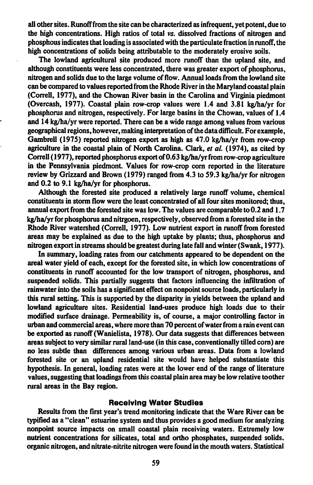all other sites. Runoff from the site can be characterized as infrequent, yet potent, due to the high concentrations. High ratios of total *vs.* dissolved fractions of nitrogen and phosphous indicates that loading is associated with the particulate fraction in runoff', the high concentrations of solids being attributable to the moderately erosive soils.

The lowland agricultural site produced more runoff than the upland site, and although constituents were less concentrated, there was greater export of phosphorus, nitrogen and solids due to the large volume of flow. Annual loads from the lowland site can be compared to values reported from the Rhode River in the Maryland coastal plain (Correll, 1977), and the Chowan River basin in the Carolina and Virginia piedmont (Overcash, 1977). Coastal plain row-crop values were 1.4 and 3.81 kg/ha/yr for phosphorus and nitrogen, respectively. For large basins in the Chowan, values of 1.4 and 14 kg/ha/yr were reported. There can be a wide range among values from various geographical regions, however, making interpretation of the data difficult. For example, Gambrell (197S) reported nitrogen export as high as 47.0 kg/ha/yr from row-crop agriculture in the coastal plain of North Carolina. Clark, *et al.* (1974), as cited by Correll ( 1977), reported phosphorus export of0.63 kg/ha/yr from row-crop agriculture in the Pennsylvania piedmont. Values for row-crop corn reported in the literature review by Grizzard and Brown (1979) ranged from 4.3 to 59.3 kg/ha/yr for nitrogen and 0.2 to 9.1 kg/ha/yr for phosphorus.

Although the forested site produced a relatively large runoff volume, chemical constituents in storm flow were the least concentrated of all four sites monitored; thus, annual export from the forested site was low. The values are comparable to 0.2 and I. 7 kg/ha/yr for phosphorus and nitrgoen, respectively, observed from a forested site in the Rhode River watershed (Correll, 1977). Low nutrient export in runoff from forested areas may be explained as due to the high uptake by plants; thus, phosphorus and nitrogen export in streams should be greatest during late fall and winter (Swank, 1977).

In summary, loading rates from our catchments appeared to be dependent on the areal water yield of each, except for the forested site, in which low concentrations of constituents in runoff accounted for the low transport of nitrogen, phosphorus, and suspended solids. This partially suggests that factors influencing the infiltration of rainwater into the soils has a significant effect on nonpoint source loads, particularly in this rural setting. This is supported by the disparity in yields between the upland and lowland agriculture sites. Residential land-uses produce high loads due to their modified surface drainage. Permeability is, of course, a major controlling factor in urban and commercial areas, where more than 70 percent of water from a rain event can **be exported** as runoff (W anielista, 1978). Our data suggests that differences between areas subject to very similar rural land-use (in this case, conventionally tilled com) are no less subtle than differences among various urban areas. Data from a lowland forested site or an upland residential site would have helped substantiate this hypothesis. In general, loading rates were at the lower end of the range of literature values, suggesting that loadings from this coastal plain area may be low relative toother rural areas in the Bay region.

#### **Receiving Water Studies**

Results from the first year's trend monitoring indicate that the Ware River can be typified as a "clean" estuarine system and thus provides a good medium for analyzing nonpoint source impacts on small coastal plain receiving waters. Extremely low nutrient concentrations for silicates, total and ortho phosphates, suspended solids. organic nitrogen, and nitrate-nitrite nitrogen were found in the mouth waters. Statistical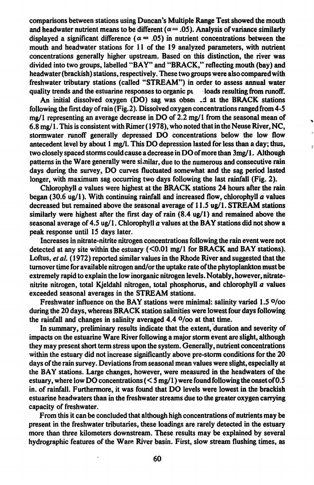comparisons between stations using Duncan's Multiple Range Test showed the mouth and headwater nutrient means to be different ( $\alpha$  = .05). Analysis of variance similarly displayed a significant difference ( $\alpha$  = .05) in nutrient concentrations between the mouth and headwater stations for 11 of the 19 analyzed parameters, with nutrient concentrations generally higher upstream. Based on this distinction, the river was divided into two groups, labelled **''BAY"** and **"BRACK,"** reflecting mouth (bay) and headwater (brackish) stations, respectively. These two groups were also compared with freshwater tributary stations (called **"STREAM")** in order to assess annual water quality trends and the estuarine responses to organic pulled back resulting from runoff.

An initial dissolved oxygen (DO) sag was obse1 \_:l at the **BRACK** stations following the first day of rain (Fig.2 ). Dissolved oxygen concentrations ranged from 4-5 mg/1 representing an average decrease in DO of 2.2 mg/1 from the seasonal mean of 6.8 mg/ 1. This is consistent with Rimer ( 1978), who noted that in the Neuse River, NC, stormwater runoff generally depressed DO concentrations below the low flow antecedent level by about 1 mg/I. This DO depression lasted for less than a day; thus, two closely spaced storms could cause a decrease in DO of more than 3mg/ 1. Although patterns in the Ware generally were si,nilar, due to the numerous and consecutive rain days during the survey, DO curves fluctuated somewhat and the sag period lasted longer, with maximum sag occurring two days following the last rainfall (Fig. 2).

,.

Chlorophyll a values were highest at the **BRACK** stations 24 hours after the rain began (30.6 ug/1 ). With continuing rainfall and increased flow, chlorophyll *a* values decreased but remained above the seasonal average of 11.5 ug/1. STREAM stations similarly were highest after the first day of rain  $(8.4 \text{ ug}/1)$  and remained above the seasonal average of 4.5 ug/1. Chlorophyll  $\alpha$  values at the BAY stations did not show a peak response until 15 days later.

Increases in nitrate-nitrite nitrogen concentrations following the rain event were not detected at any site within the estuary  $(<0.01$  mg/1 for BRACK and BAY stations). Loftus, *et al.* (1972) reported similar values in the Rhode River and suggested that the turnover time for available nitrogen and/or the uptake rate of the phytoplankton must be extremely rapid to explain the low inorganic nitrogen levels. Notably, however, nitratenitrite nitrogen, total Kjeldahl nitrogen, total phosphorus, and chlorophyll *a* values exceeded seasonal averages in the **STREAM** stations.

Freshwater influence on the BAY stations were minimal: salinity varied 1.5 O/oo during the 20 days, whereas **BRACK** station salinities were lowest four days following the rainfall and changes in salinity averaged 4.4 O/oo at that time.

In summary, preliminary results indicate that the extent, duration and severity of impacts on the estuarine Ware River following a major storm event are slight, although they may present short tenn stress upon the system. Generally, nutrient concentrations within the estuary did not increase significantly above pre-storm conditions for the 20 days of the rain survey. Deviations from seasonal mean values were slight, especially at the BAY stations. Large changes, however, were measured in the headwaters of the estuary, where low DO concentrations ( < *5* mg/1) were found following the onsetof0.5 in. of rainfall. Furthermore, it was found that DO levels were lowest in the brackish estuarine headwaters than in the freshwater streams due to the greater oxygen carrying capacity of freshwater.

From this it can be concluded that although high concentrations of nutrients may be present in the freshwater tributaries, these loadings are rarely detected in the estuary more than three kilometers downstream. These results may be explained by several hydrographic features of the Ware River basin. First, slow stream flushing times, as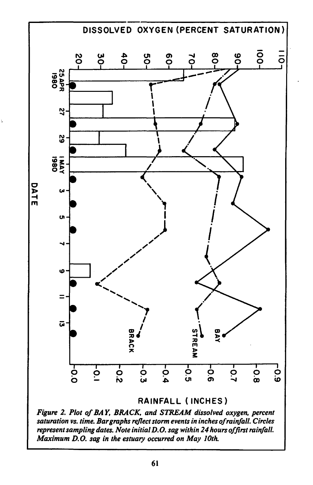

Figure 2. Plot of BAY, BRACK, and STREAM dissolved oxygen, percent saturation vs. time. Bar graphs reflect storm events in inches of rainfall. Circles represent sampling dates. Note initial D.O. sag within 24 hours of first rainfall. Maximum D.O. sag in the estuary occurred on May 10th.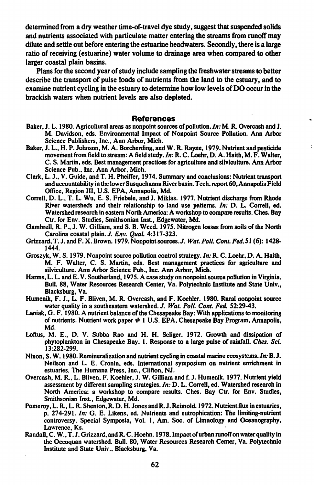detennined from a dry weather time-of-travel dye study, suggest that suspended solids and nutrients associated with particulate matter entering the streams from runoff may dilute and settle out before entering the estuarine headwaters. Secondly, there is a large ratio of receiving (estuarine) water volume to drainage area when compared to other larger coastal plain basins.

Plans for the second year of study include sampling the freshwater streams to better describe the transport of pulse loads of nutrients from the land to the estuary, and to examine nutrient cycling in the estuary to detennine how low levels of DO occur in the brackish waters when nutrient levels are also depleted.

#### **References**

- Baker, J. L. 1980. Agricultural areas as nonpoint sources of pollution. *In:* **M. R.** Overcash and J. M. Davidson, eds. Environmental Impact of Nonpoint Source Pollution. Ann Arbor Science Publishers, Inc., Ann Arbor, Mich.
- Baker, J. L., H.P. Johnson, M.A. Borcherding, and **W.R.** Rayne, 1979. Nutrient and pesticide movement from field to stream: A field study. *In:* R. C. Loehr, D. A. Haith, M. F. Walter, C. S. Martin, eds. Best management practices for agriculture and silviculture. Ann Arbor Science Pub., Inc. Ann Arbor, Mich.
- Clark, L. J., V. Guide, and T. H. Pheiffer, 1974. Summary and conclusions: Nutrient transport and accountability in the lower Susquehanna River basin. Tech. report 60, Annapolis Field Office, Region III, U.S. EPA, Annapolis, Md.
- Correll, D. L., T. L. Wu, E. S. Friebele, and J. Miklas. 1977. Nutrient discharge from Rhode River watersheds and their relationship to land use patterns. *In:* D. L. Correll, ed. Watershed research in eastern North America: A workshop to compare results. Ches. Bay Ctr. for Env. Studies, Smithsonian Inst., Edgewater, Md.
- Gambrell, R. P., J. W. Gilliam, and S. 8. Weed. 1975. Nitrogen losses from soils of the North Carolina coastal plain. J. *Env. Qual.* 4:317-323.
- Grizzard, T. J. and F. X. Brown. I 979. Nonpointsources.J. *Wat. Poll. Cont. Fed.* SI (6): 1428- 1444.
- Groszyk, W. S. 1979. Nonpoint source pollution control strategy. *In:* R. C. Loehr, D. A. Haith, M. F. Walter, C. S. Martin, eds. Best management practices for agriculture and silviculture. Ann Arbor Science Pub., Inc. Ann Arbor, Mich.
- Harms, L. L. and E. V. Southerland, 1975. A case study on nonpoint source pollution in Virginia. Bull. 88, Water Resources Research Center, Va. Polytechnic Institute and State Univ., Blacksburg, Va.
- Humenik, F. J., L. F. Bliven, M. R. Overcash, and F. Koehler. 1980. Rural nonpoint source water quality in a southeastern watershed. J. *Wat. Poll. Cont. Fed.* 52:29-43.
- Laniak, G. F. 1980. A nutrient balance of the Chesapeake Bay: With applications to monitoring of nutrients. Nutrient work paper # 1 U.S. EPA, Chesapeake Bay Program, Annapolis, Md.
- Loftus, M. E., D. V. Subba Rao and H. H. Seliger. 1972. Growth and dissipation of phytoplankton in Chesapeake Bay. 1. Response to a large pulse of rainfall. *Ches. Sci.*  13:282-299.
- Nixon, S. W. 1980. Remineralization and nutrient cycling in coastal marine ecosystems.In: **B. J.**  Neilson and L. E. Cronin, eds. International symposium on nutrient enrichment in estuaries. The Humana Press, Inc., Clifton, NJ.
- Overcash, M. R., L. Bliven, F. Koehler, J. W. Gilliam and f. J. Humenik. 1977. Nutrient yield assessment by different sampling strategies. *In:* D. L. Correll, ed. Watershed research in North America: a workshop to compare results. Ches. Bay Ctr. for Env. Studies, Smithsonian Inst., Edgewater, Md.
- Pomeroy, L. R., L. R. Shenton, R. D. H. Jones and R. J. Reimold. 1972. Nutrient flux in estuaries, p. 274-291. *In:* G. E. Likens, ed. Nutrients and eutrophication: The limiting-nutrient controversy. Special Symposia, Vol. 1, Am. Soc. of Limnology and Oceanography, Lawrence, Ks.
- Randall, C. W., T. J. Grizzard, and R. C. Hoehn. 1978. Impact of urban runoff on water quality in the Occoquan watershed. Bull. 80, Water Resources Research Center, Va. Polytechnic Institute and State Univ., Blacksburg, Va.